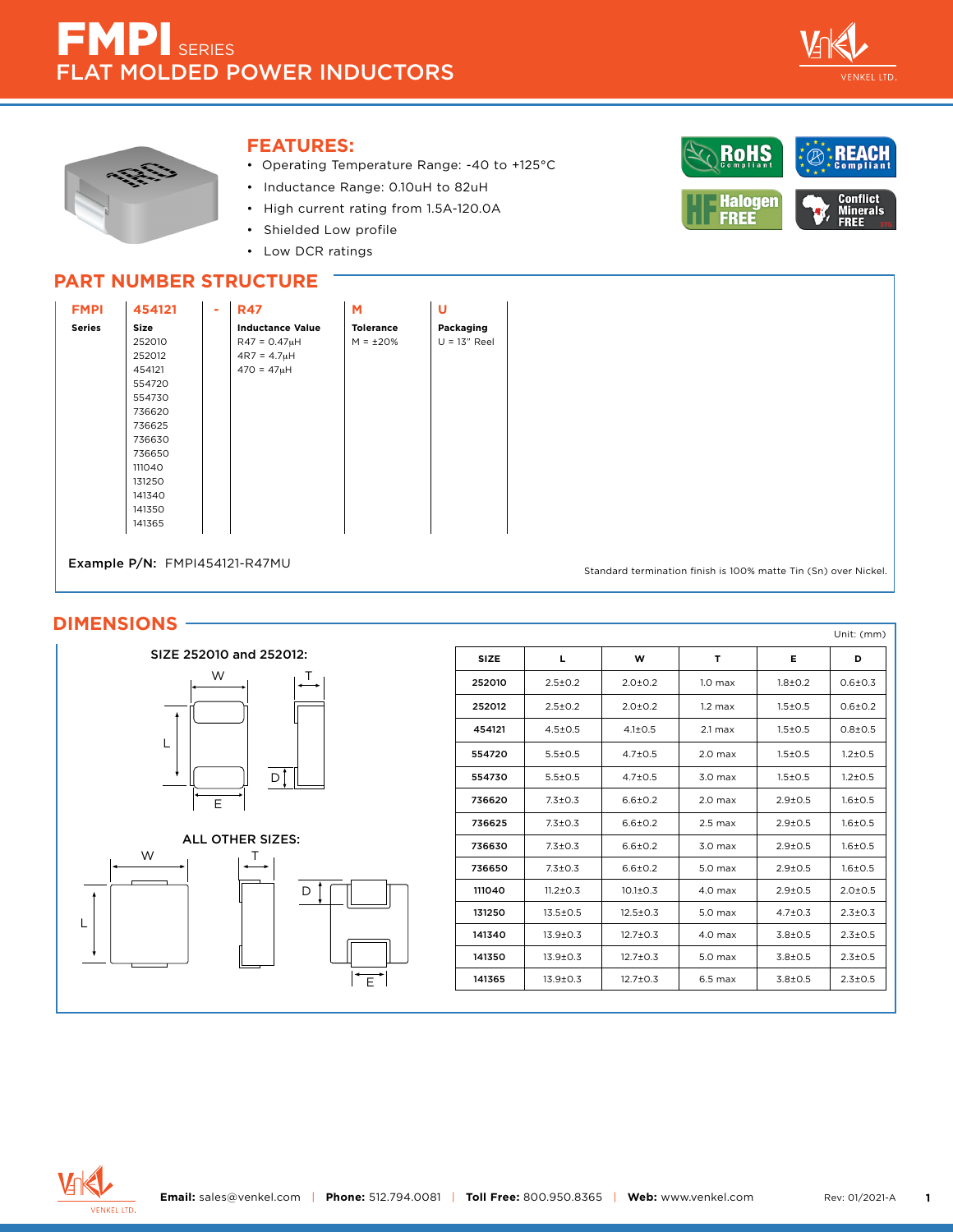



## **FEATURES:**

- Operating Temperature Range: -40 to +125°C
- Inductance Range: 0.10uH to 82uH
- High current rating from 1.5A-120.0A
- Shielded Low profile
- Low DCR ratings



# **PART NUMBER STRUCTURE**

| <b>FMPI</b>   | 454121 | - | <b>R47</b>              | м                | U              |
|---------------|--------|---|-------------------------|------------------|----------------|
| <b>Series</b> | Size   |   | <b>Inductance Value</b> | <b>Tolerance</b> | Packaging      |
|               | 252010 |   | $R47 = 0.47\muH$        | $M = \pm 20\%$   | $U = 13"$ Reel |
|               | 252012 |   | $4R7 = 4.7µH$           |                  |                |
|               | 454121 |   | $470 = 47µH$            |                  |                |
|               | 554720 |   |                         |                  |                |
|               | 554730 |   |                         |                  |                |
|               | 736620 |   |                         |                  |                |
|               | 736625 |   |                         |                  |                |
|               | 736630 |   |                         |                  |                |
|               | 736650 |   |                         |                  |                |
|               | 111040 |   |                         |                  |                |
|               | 131250 |   |                         |                  |                |
|               | 141340 |   |                         |                  |                |
|               | 141350 |   |                         |                  |                |
|               | 141365 |   |                         |                  |                |
|               |        |   |                         |                  |                |

Example P/N: FMPI454121-R47MU

Standard termination finish is 100% matte Tin (Sn) over Nickel.

## **DIMENSIONS**





|             |                |                |                    |               | Unit: (mm)    |
|-------------|----------------|----------------|--------------------|---------------|---------------|
| <b>SIZE</b> | Ц              | W              | T                  | Е             | D             |
| 252010      | $2.5 \pm 0.2$  | $2.0 + 0.2$    | 1.0 <sub>max</sub> | $1.8 + 0.2$   | $0.6 + 0.3$   |
| 252012      | $2.5+0.2$      | $2.0 + 0.2$    | $1.2$ max          | $1.5 \pm 0.5$ | $0.6 + 0.2$   |
| 454121      | $4.5 \pm 0.5$  | $4.1 \pm 0.5$  | $2.1 \text{ max}$  | $1.5 \pm 0.5$ | $0.8 + 0.5$   |
| 554720      | $5.5 + 0.5$    | $4.7 + 0.5$    | 2.0 <sub>max</sub> | $1.5 \pm 0.5$ | $1.2 + 0.5$   |
| 554730      | $5.5 \pm 0.5$  | $4.7 + 0.5$    | 3.0 <sub>max</sub> | $1.5 \pm 0.5$ | $1.2 + 0.5$   |
| 736620      | $7.3 \pm 0.3$  | $6.6 \pm 0.2$  | 2.0 <sub>max</sub> | $2.9 + 0.5$   | $1.6 + 0.5$   |
| 736625      | $7.3 + 0.3$    | $6.6 \pm 0.2$  | $2.5$ max          | $2.9 + 0.5$   | $1.6 + 0.5$   |
| 736630      | $7.3 \pm 0.3$  | $6.6 \pm 0.2$  | 3.0 <sub>max</sub> | $2.9 + 0.5$   | $1.6 + 0.5$   |
| 736650      | $7.3 + 0.3$    | $6.6 + 0.2$    | $5.0$ max          | $2.9 + 0.5$   | $1.6 + 0.5$   |
| 111040      | $11.2 \pm 0.3$ | $10.1 \pm 0.3$ | 4.0 <sub>max</sub> | $2.9 + 0.5$   | $2.0 \pm 0.5$ |
| 131250      | $13.5 \pm 0.5$ | $12.5 \pm 0.3$ | 5.0 <sub>max</sub> | $4.7 \pm 0.3$ | $2.3 + 0.3$   |
| 141340      | $13.9 \pm 0.3$ | $12.7 \pm 0.3$ | 4.0 <sub>max</sub> | $3.8 + 0.5$   | $2.3 + 0.5$   |
| 141350      | $13.9 \pm 0.3$ | $12.7 \pm 0.3$ | 5.0 <sub>max</sub> | $3.8 + 0.5$   | $2.3 + 0.5$   |
| 141365      | $13.9 \pm 0.3$ | $12.7 \pm 0.3$ | $6.5$ max          | $3.8 + 0.5$   | $2.3 \pm 0.5$ |



L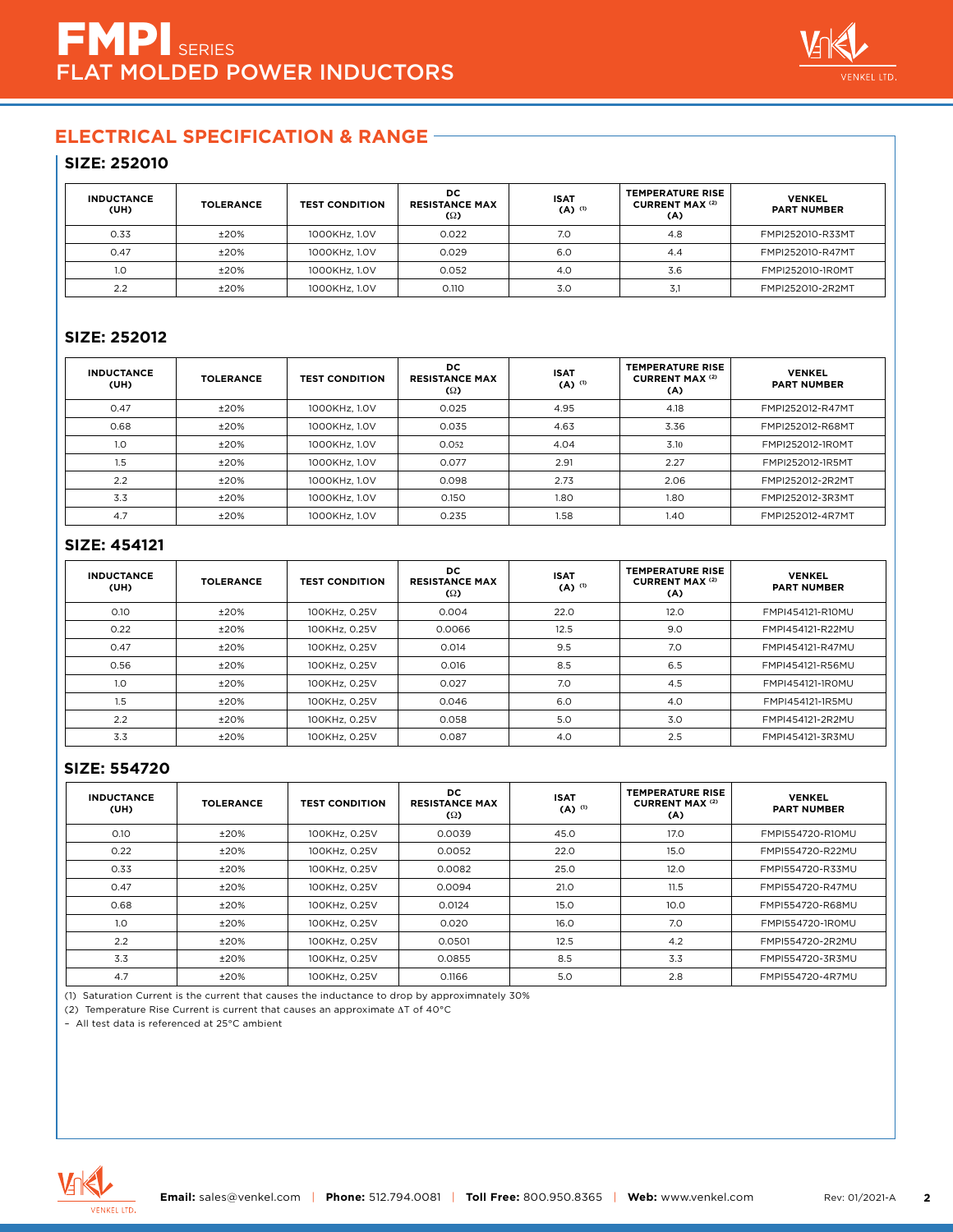

## **SIZE: 252010**

| <b>INDUCTANCE</b><br>(UH) | <b>TOLERANCE</b> | <b>TEST CONDITION</b> | DC.<br><b>RESISTANCE MAX</b><br>(Ω) | <b>ISAT</b><br>$(A)$ <sup>(1)</sup> | <b>TEMPERATURE RISE</b><br><b>CURRENT MAX (2)</b><br>(A) | <b>VENKEL</b><br><b>PART NUMBER</b> |
|---------------------------|------------------|-----------------------|-------------------------------------|-------------------------------------|----------------------------------------------------------|-------------------------------------|
| 0.33                      | ±20%             | 1000KHz, 1.0V         | 0.022                               | 7.0                                 | 4.8                                                      | FMPI252010-R33MT                    |
| 0.47                      | ±20%             | 1000KHz, 1.0V         | 0.029                               | 6.0                                 | 4.4                                                      | FMPI252010-R47MT                    |
| 1.0                       | ±20%             | 1000KHz, 1.0V         | 0.052                               | 4.0                                 | 3.6                                                      | FMPI252010-1ROMT                    |
| 2.2                       | ±20%             | 1000KHz, 1.0V         | 0.110                               | 3.0                                 | 3,1                                                      | FMPI252010-2R2MT                    |

## **SIZE: 252012**

| <b>INDUCTANCE</b><br>(UH) | <b>TOLERANCE</b> | <b>TEST CONDITION</b> | DC.<br><b>RESISTANCE MAX</b><br>$\Omega$ | <b>ISAT</b><br>$(A)$ <sup>(1)</sup> | <b>TEMPERATURE RISE</b><br><b>CURRENT MAX (2)</b><br>(A) | <b>VENKEL</b><br><b>PART NUMBER</b> |
|---------------------------|------------------|-----------------------|------------------------------------------|-------------------------------------|----------------------------------------------------------|-------------------------------------|
| 0.47                      | ±20%             | 1000KHz, 1.0V         | 0.025                                    | 4.95                                | 4.18                                                     | FMPI252012-R47MT                    |
| 0.68                      | ±20%             | 1000KHz, 1.0V         | 0.035                                    | 4.63                                | 3.36                                                     | FMPI252012-R68MT                    |
| 1.0                       | ±20%             | 1000KHz, 1.0V         | 0.052                                    | 4.04                                | 3.10                                                     | FMPI252012-1ROMT                    |
| 1.5                       | ±20%             | 1000KHz, 1.0V         | 0.077                                    | 2.91                                | 2.27                                                     | FMPI252012-1R5MT                    |
| 2.2                       | ±20%             | 1000KHz, 1.0V         | 0.098                                    | 2.73                                | 2.06                                                     | FMPI252012-2R2MT                    |
| 3.3                       | ±20%             | 1000KHz, 1.0V         | 0.150                                    | 1.80                                | 1.80                                                     | FMPI252012-3R3MT                    |
| 4.7                       | ±20%             | 1000KHz, 1.0V         | 0.235                                    | 1.58                                | 1.40                                                     | FMPI252012-4R7MT                    |

## **SIZE: 454121**

| <b>INDUCTANCE</b><br>(UH) | <b>TOLERANCE</b> | <b>TEST CONDITION</b> | DC.<br><b>RESISTANCE MAX</b><br>$\Omega$ | <b>ISAT</b><br>$(A)$ <sup>(1)</sup> | <b>TEMPERATURE RISE</b><br><b>CURRENT MAX (2)</b><br>(A) | <b>VENKEL</b><br><b>PART NUMBER</b> |
|---------------------------|------------------|-----------------------|------------------------------------------|-------------------------------------|----------------------------------------------------------|-------------------------------------|
| O.1O                      | ±20%             | 100KHz, 0.25V         | 0.004                                    | 22.0                                | 12.0                                                     | FMPI454121-R10MU                    |
| 0.22                      | ±20%             | 100KHz, 0.25V         | 0.0066                                   | 12.5                                | 9.0                                                      | FMPI454121-R22MU                    |
| 0.47                      | ±20%             | 100KHz, 0.25V         | 0.014                                    | 9.5                                 | 7.0                                                      | FMPI454121-R47MU                    |
| 0.56                      | ±20%             | 100KHz, 0.25V         | 0.016                                    | 8.5                                 | 6.5                                                      | FMPI454121-R56MU                    |
| 1.0                       | ±20%             | 100KHz, 0.25V         | 0.027                                    | 7.0                                 | 4.5                                                      | FMPI454121-1ROMU                    |
| 1.5                       | ±20%             | 100KHz, 0.25V         | 0.046                                    | 6.0                                 | 4.0                                                      | FMPI454121-1R5MU                    |
| 2.2                       | ±20%             | 100KHz, 0.25V         | 0.058                                    | 5.0                                 | 3.0                                                      | FMPI454121-2R2MU                    |
| 3.3                       | ±20%             | 100KHz, 0.25V         | 0.087                                    | 4.0                                 | 2.5                                                      | FMPI454121-3R3MU                    |

#### **SIZE: 554720**

| <b>INDUCTANCE</b><br>(UH) | <b>TOLERANCE</b> | <b>TEST CONDITION</b> | DC.<br><b>RESISTANCE MAX</b><br>$\Omega$ | <b>ISAT</b><br>$(A)$ <sup>(1)</sup> | <b>TEMPERATURE RISE</b><br><b>CURRENT MAX (2)</b><br>(A) | <b>VENKEL</b><br><b>PART NUMBER</b> |
|---------------------------|------------------|-----------------------|------------------------------------------|-------------------------------------|----------------------------------------------------------|-------------------------------------|
| 0.10                      | ±20%             | 100KHz, 0.25V         | 0.0039                                   | 45.0                                | 17.0                                                     | FMPI554720-R10MU                    |
| 0.22                      | ±20%             | 100KHz, 0.25V         | 0.0052                                   | 22.0                                | 15.0                                                     | FMPI554720-R22MU                    |
| 0.33                      | ±20%             | 100KHz, 0.25V         | 0.0082                                   | 25.0                                | 12.0                                                     | FMPI554720-R33MU                    |
| 0.47                      | ±20%             | 100KHz, 0.25V         | 0.0094                                   | 21.0                                | 11.5                                                     | FMPI554720-R47MU                    |
| 0.68                      | ±20%             | 100KHz, 0.25V         | 0.0124                                   | 15.0                                | 10.0                                                     | FMPI554720-R68MU                    |
| 1.0 <sub>2</sub>          | ±20%             | 100KHz, 0.25V         | 0.020                                    | 16.0                                | 7.0                                                      | FMPI554720-1R0MU                    |
| 2.2                       | ±20%             | 100KHz, 0.25V         | 0.0501                                   | 12.5                                | 4.2                                                      | FMPI554720-2R2MU                    |
| 3.3                       | ±20%             | 100KHz, 0.25V         | 0.0855                                   | 8.5                                 | 3.3                                                      | FMPI554720-3R3MU                    |
| 4.7                       | ±20%             | 100KHz, 0.25V         | 0.1166                                   | 5.0                                 | 2.8                                                      | FMPI554720-4R7MU                    |

(1) Saturation Current is the current that causes the inductance to drop by approximnately 30%

(2) Temperature Rise Current is current that causes an approximate ∆T of 40°C

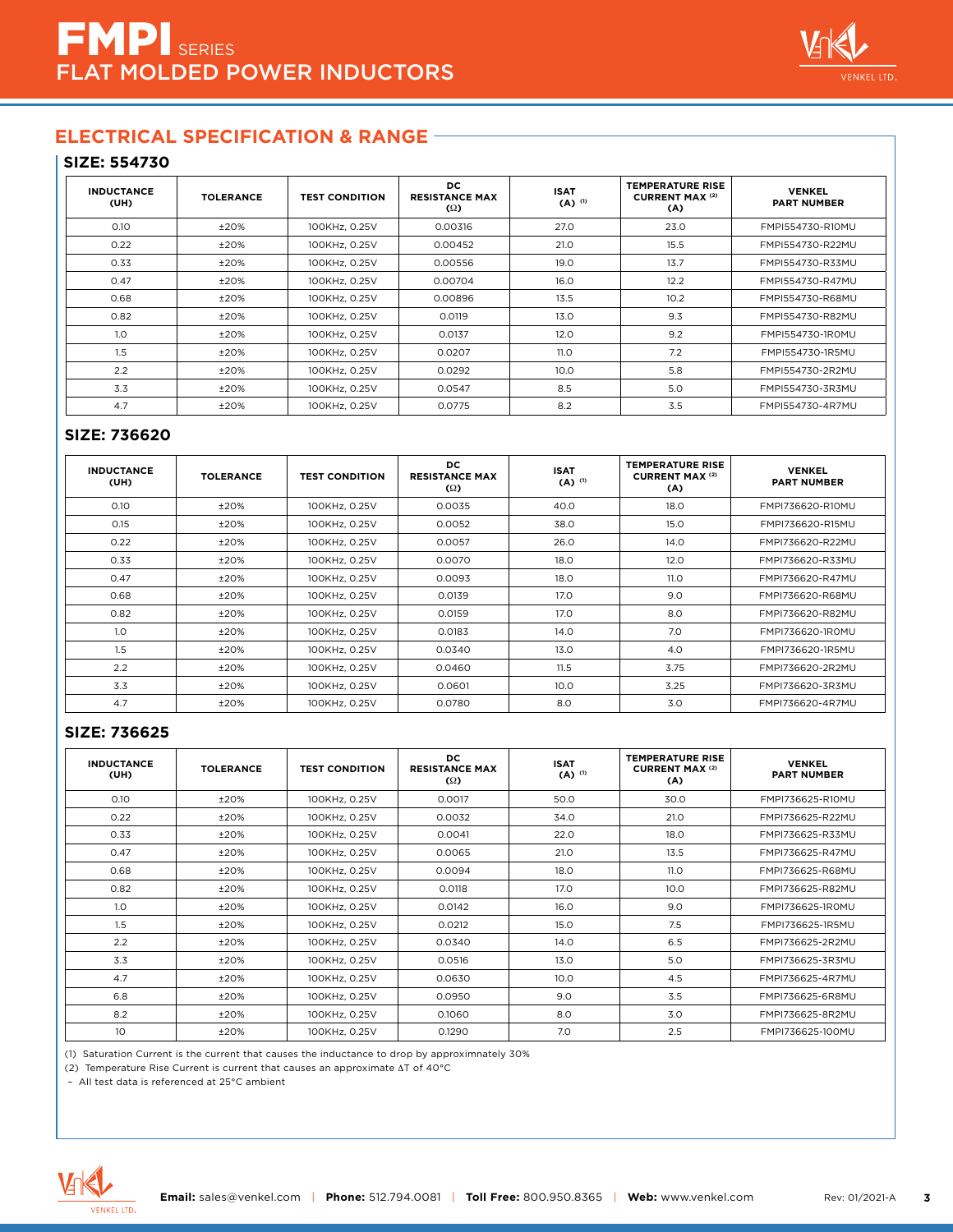

#### **SIZE: 554730**

| <b>INDUCTANCE</b><br>(UH) | <b>TOLERANCE</b> | <b>TEST CONDITION</b> | DC.<br><b>RESISTANCE MAX</b><br>$\Omega$ | <b>ISAT</b><br>$(A)$ <sup>(1)</sup> | <b>TEMPERATURE RISE</b><br><b>CURRENT MAX (2)</b><br>(A) | <b>VENKEL</b><br><b>PART NUMBER</b> |
|---------------------------|------------------|-----------------------|------------------------------------------|-------------------------------------|----------------------------------------------------------|-------------------------------------|
| 0.10                      | ±20%             | 100KHz, 0.25V         | 0.00316                                  | 27.0                                | 23.0                                                     | FMPI554730-R10MU                    |
| 0.22                      | ±20%             | 100KHz, 0.25V         | 0.00452                                  | 21.0                                | 15.5                                                     | FMPI554730-R22MU                    |
| 0.33                      | ±20%             | 100KHz, 0.25V         | 0.00556                                  | 19.0                                | 13.7                                                     | FMPI554730-R33MU                    |
| 0.47                      | ±20%             | 100KHz, 0.25V         | 0.00704                                  | 16.0                                | 12.2                                                     | FMPI554730-R47MU                    |
| 0.68                      | ±20%             | 100KHz, 0.25V         | 0.00896                                  | 13.5                                | 10.2                                                     | FMPI554730-R68MU                    |
| 0.82                      | ±20%             | 100KHz, 0.25V         | 0.0119                                   | 13.0                                | 9.3                                                      | FMPI554730-R82MU                    |
| 1.0                       | ±20%             | 100KHz, 0.25V         | 0.0137                                   | 12.0                                | 9.2                                                      | FMPI554730-1R0MU                    |
| 1.5                       | ±20%             | 100KHz, 0.25V         | 0.0207                                   | 11.0                                | 7.2                                                      | FMPI554730-1R5MU                    |
| 2.2                       | ±20%             | 100KHz, 0.25V         | 0.0292                                   | 10.0                                | 5.8                                                      | FMPI554730-2R2MU                    |
| 3.3                       | ±20%             | 100KHz, 0.25V         | 0.0547                                   | 8.5                                 | 5.0                                                      | FMPI554730-3R3MU                    |
| 4.7                       | ±20%             | 100KHz, 0.25V         | 0.0775                                   | 8.2                                 | 3.5                                                      | FMPI554730-4R7MU                    |

#### **SIZE: 736620**

| <b>INDUCTANCE</b><br>(UH) | <b>TOLERANCE</b> | <b>TEST CONDITION</b> | DC.<br><b>RESISTANCE MAX</b><br>$\Omega$ | <b>ISAT</b><br>$(A)$ <sup>(1)</sup> | <b>TEMPERATURE RISE</b><br><b>CURRENT MAX (2)</b><br>(A) | <b>VENKEL</b><br><b>PART NUMBER</b> |
|---------------------------|------------------|-----------------------|------------------------------------------|-------------------------------------|----------------------------------------------------------|-------------------------------------|
| 0.10                      | ±20%             | 100KHz, 0.25V         | 0.0035                                   | 40.0                                | 18.0                                                     | FMPI736620-R10MU                    |
| 0.15                      | ±20%             | 100KHz, 0.25V         | 0.0052                                   | 38.0                                | 15.0                                                     | FMPI736620-R15MU                    |
| 0.22                      | ±20%             | 100KHz, 0.25V         | 0.0057                                   | 26.0                                | 14.0                                                     | FMPI736620-R22MU                    |
| 0.33                      | ±20%             | 100KHz, 0.25V         | 0.0070                                   | 18.0                                | 12.0                                                     | FMPI736620-R33MU                    |
| 0.47                      | ±20%             | 100KHz, 0.25V         | 0.0093                                   | 18.0                                | <b>11.0</b>                                              | FMPI736620-R47MU                    |
| 0.68                      | ±20%             | 100KHz, 0.25V         | 0.0139                                   | 17.0                                | 9.0                                                      | FMPI736620-R68MU                    |
| 0.82                      | ±20%             | 100KHz, 0.25V         | 0.0159                                   | 17.0                                | 8.0                                                      | FMPI736620-R82MU                    |
| 1.0                       | ±20%             | 100KHz, 0.25V         | 0.0183                                   | 14.0                                | 7.0                                                      | FMPI736620-1R0MU                    |
| 1.5                       | ±20%             | 100KHz, 0.25V         | 0.0340                                   | 13.0                                | 4.0                                                      | FMPI736620-1R5MU                    |
| 2.2                       | ±20%             | 100KHz, 0.25V         | 0.0460                                   | 11.5                                | 3.75                                                     | FMPI736620-2R2MU                    |
| 3.3                       | ±20%             | 100KHz, 0.25V         | 0.0601                                   | 10.0                                | 3.25                                                     | FMPI736620-3R3MU                    |
| 4.7                       | ±20%             | 100KHz, 0.25V         | 0.0780                                   | 8.0                                 | 3.0                                                      | FMPI736620-4R7MU                    |

#### **SIZE: 736625**

| <b>INDUCTANCE</b><br>(UH) | <b>TOLERANCE</b> | <b>TEST CONDITION</b> | DC.<br><b>RESISTANCE MAX</b><br>$\Omega$ | <b>ISAT</b><br>$(A)$ <sup>(1)</sup> | <b>TEMPERATURE RISE</b><br><b>CURRENT MAX (2)</b><br>(A) | <b>VENKEL</b><br><b>PART NUMBER</b> |
|---------------------------|------------------|-----------------------|------------------------------------------|-------------------------------------|----------------------------------------------------------|-------------------------------------|
| 0.10                      | ±20%             | 100KHz, 0.25V         | 0.0017                                   | 50.0                                | 30.0                                                     | FMPI736625-R10MU                    |
| 0.22                      | ±20%             | 100KHz, 0.25V         | 0.0032                                   | 34.0                                | 21.0                                                     | FMPI736625-R22MU                    |
| 0.33                      | ±20%             | 100KHz, 0.25V         | 0.0041                                   | 22.0                                | 18.0                                                     | FMPI736625-R33MU                    |
| 0.47                      | ±20%             | 100KHz, 0.25V         | 0.0065                                   | 21.0                                | 13.5                                                     | FMPI736625-R47MU                    |
| 0.68                      | ±20%             | 100KHz, 0.25V         | 0.0094                                   | 18.0                                | 11.0                                                     | FMPI736625-R68MU                    |
| 0.82                      | ±20%             | 100KHz, 0.25V         | 0.0118                                   | 17.0                                | 10.0                                                     | FMPI736625-R82MU                    |
| 1.0                       | ±20%             | 100KHz, 0.25V         | 0.0142                                   | 16.0                                | 9.0                                                      | FMPI736625-1R0MU                    |
| 1.5                       | ±20%             | 100KHz, 0.25V         | 0.0212                                   | 15.0                                | 7.5                                                      | FMPI736625-1R5MU                    |
| 2.2                       | ±20%             | 100KHz, 0.25V         | 0.0340                                   | 14.0                                | 6.5                                                      | FMPI736625-2R2MU                    |
| 3.3                       | ±20%             | 100KHz, 0.25V         | 0.0516                                   | 13.0                                | 5.0                                                      | FMPI736625-3R3MU                    |
| 4.7                       | ±20%             | 100KHz, 0.25V         | 0.0630                                   | 10.0                                | 4.5                                                      | FMPI736625-4R7MU                    |
| 6.8                       | ±20%             | 100KHz, 0.25V         | 0.0950                                   | 9.0                                 | 3.5                                                      | FMPI736625-6R8MU                    |
| 8.2                       | ±20%             | 100KHz, 0.25V         | 0.1060                                   | 8.0                                 | 3.0                                                      | FMPI736625-8R2MU                    |
| 10                        | ±20%             | 100KHz, 0.25V         | 0.1290                                   | 7.0                                 | 2.5                                                      | FMPI736625-100MU                    |

(1) Saturation Current is the current that causes the inductance to drop by approximnately 30%

(2) Temperature Rise Current is current that causes an approximate ∆T of 40°C

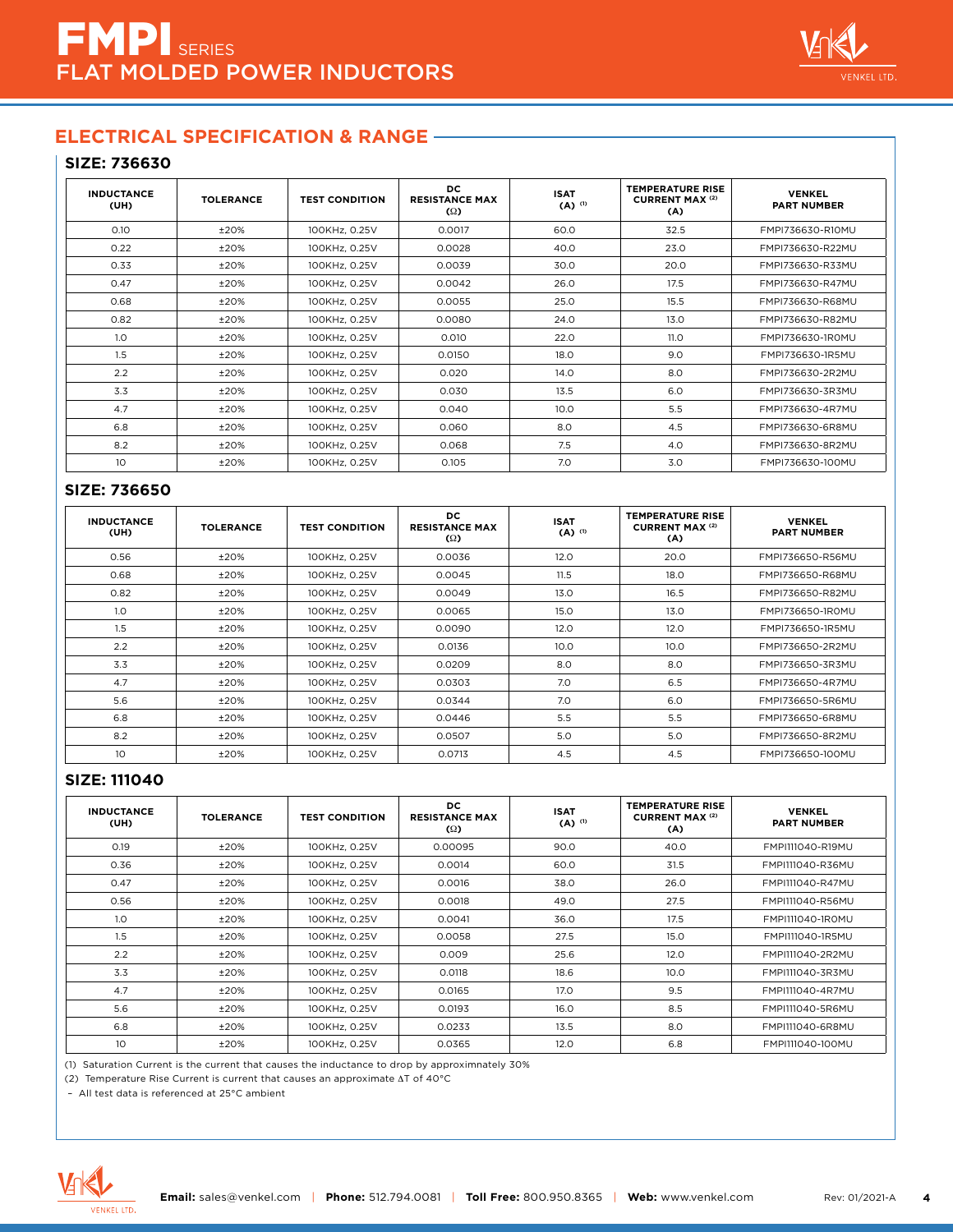

#### **SIZE: 736630**

| <b>INDUCTANCE</b><br>(UH) | <b>TOLERANCE</b> | <b>TEST CONDITION</b> | DC.<br><b>RESISTANCE MAX</b><br>$\Omega$ | <b>ISAT</b><br>$(A)$ <sup>(1)</sup> | <b>TEMPERATURE RISE</b><br><b>CURRENT MAX (2)</b><br>(A) | <b>VENKEL</b><br><b>PART NUMBER</b> |
|---------------------------|------------------|-----------------------|------------------------------------------|-------------------------------------|----------------------------------------------------------|-------------------------------------|
| 0.10                      | ±20%             | 100KHz, 0.25V         | 0.0017                                   | 60.0                                | 32.5                                                     | FMPI736630-R10MU                    |
| 0.22                      | ±20%             | 100KHz, 0.25V         | 0.0028                                   | 40.0                                | 23.0                                                     | FMPI736630-R22MU                    |
| 0.33                      | ±20%             | 100KHz, 0.25V         | 0.0039                                   | 30.0                                | 20.0                                                     | FMPI736630-R33MU                    |
| 0.47                      | ±20%             | 100KHz, 0.25V         | 0.0042                                   | 26.0                                | 17.5                                                     | FMPI736630-R47MU                    |
| 0.68                      | ±20%             | 100KHz, 0.25V         | 0.0055                                   | 25.0                                | 15.5                                                     | FMPI736630-R68MU                    |
| 0.82                      | ±20%             | 100KHz, 0.25V         | 0.0080                                   | 24.0                                | 13.0                                                     | FMPI736630-R82MU                    |
| 1.0                       | ±20%             | 100KHz, 0.25V         | 0.010                                    | 22.0                                | 11.O                                                     | FMPI736630-1R0MU                    |
| 1.5                       | ±20%             | 100KHz, 0.25V         | 0.0150                                   | 18.0                                | 9.0                                                      | FMPI736630-1R5MU                    |
| 2.2                       | ±20%             | 100KHz, 0.25V         | 0.020                                    | 14.0                                | 8.0                                                      | FMPI736630-2R2MU                    |
| 3.3                       | ±20%             | 100KHz, 0.25V         | 0.030                                    | 13.5                                | 6.0                                                      | FMPI736630-3R3MU                    |
| 4.7                       | ±20%             | 100KHz, 0.25V         | 0.040                                    | 10.0 <sub>1</sub>                   | 5.5                                                      | FMPI736630-4R7MU                    |
| 6.8                       | ±20%             | 100KHz, 0.25V         | 0.060                                    | 8.0                                 | 4.5                                                      | FMPI736630-6R8MU                    |
| 8.2                       | ±20%             | 100KHz, 0.25V         | 0.068                                    | 7.5                                 | 4.0                                                      | FMPI736630-8R2MU                    |
| 10 <sup>°</sup>           | ±20%             | 100KHz, 0.25V         | 0.105                                    | 7.0                                 | 3.0                                                      | FMPI736630-100MU                    |

#### **SIZE: 736650**

| <b>INDUCTANCE</b><br>(UH) | <b>TOLERANCE</b> | <b>TEST CONDITION</b> | DC.<br><b>RESISTANCE MAX</b><br>$\Omega$ | <b>ISAT</b><br>$($ A) $($ <sup>11</sup> | <b>TEMPERATURE RISE</b><br><b>CURRENT MAX (2)</b><br>(A) | <b>VENKEL</b><br><b>PART NUMBER</b> |
|---------------------------|------------------|-----------------------|------------------------------------------|-----------------------------------------|----------------------------------------------------------|-------------------------------------|
| 0.56                      | ±20%             | 100KHz, 0.25V         | 0.0036                                   | 12.0                                    | 20.0                                                     | FMPI736650-R56MU                    |
| 0.68                      | ±20%             | 100KHz, 0.25V         | 0.0045                                   | 11.5                                    | 18.0                                                     | FMPI736650-R68MU                    |
| 0.82                      | ±20%             | 100KHz, 0.25V         | 0.0049                                   | 13.0                                    | 16.5                                                     | FMPI736650-R82MU                    |
| 1.0                       | ±20%             | 100KHz, 0.25V         | 0.0065                                   | 15.0                                    | 13.0                                                     | FMPI736650-1ROMU                    |
| 1.5                       | ±20%             | 100KHz, 0.25V         | 0.0090                                   | 12.0                                    | 12.0                                                     | FMPI736650-1R5MU                    |
| 2.2                       | ±20%             | 100KHz, 0.25V         | 0.0136                                   | 10.0                                    | 10.0                                                     | FMPI736650-2R2MU                    |
| 3.3                       | ±20%             | 100KHz, 0.25V         | 0.0209                                   | 8.0                                     | 8.0                                                      | FMPI736650-3R3MU                    |
| 4.7                       | ±20%             | 100KHz, 0.25V         | 0.0303                                   | 7.0                                     | 6.5                                                      | FMPI736650-4R7MU                    |
| 5.6                       | ±20%             | 100KHz, 0.25V         | 0.0344                                   | 7.0                                     | 6.0                                                      | FMPI736650-5R6MU                    |
| 6.8                       | ±20%             | 100KHz, 0.25V         | 0.0446                                   | 5.5                                     | 5.5                                                      | FMPI736650-6R8MU                    |
| 8.2                       | ±20%             | 100KHz, 0.25V         | 0.0507                                   | 5.0                                     | 5.0                                                      | FMPI736650-8R2MU                    |
| 10                        | ±20%             | 100KHz, 0.25V         | 0.0713                                   | 4.5                                     | 4.5                                                      | FMPI736650-100MU                    |

#### **SIZE: 111040**

| <b>INDUCTANCE</b><br>(UH) | <b>TOLERANCE</b> | <b>TEST CONDITION</b> | DC<br><b>RESISTANCE MAX</b><br>$\Omega$ | <b>ISAT</b><br>$(A)$ <sup>(1)</sup> | <b>TEMPERATURE RISE</b><br><b>CURRENT MAX (2)</b><br>(A) | <b>VENKEL</b><br><b>PART NUMBER</b> |
|---------------------------|------------------|-----------------------|-----------------------------------------|-------------------------------------|----------------------------------------------------------|-------------------------------------|
| 0.19                      | ±20%             | 100KHz, 0.25V         | 0.00095                                 | 90.0                                | 40.0                                                     | FMPI111040-R19MU                    |
| 0.36                      | ±20%             | 100KHz, 0.25V         | 0.0014                                  | 60.0                                | 31.5                                                     | FMPI111040-R36MU                    |
| 0.47                      | ±20%             | 100KHz, 0.25V         | 0.0016                                  | 38.0                                | 26.0                                                     | FMPI111040-R47MU                    |
| 0.56                      | ±20%             | 100KHz, 0.25V         | 0.0018                                  | 49.0                                | 27.5                                                     | FMPI111040-R56MU                    |
| 1.0                       | ±20%             | 100KHz, 0.25V         | 0.0041                                  | 36.0                                | 17.5                                                     | FMPI111040-1R0MU                    |
| 1.5                       | ±20%             | 100KHz, 0.25V         | 0.0058                                  | 27.5                                | 15.0                                                     | FMPI111040-1R5MU                    |
| 2.2                       | ±20%             | 100KHz, 0.25V         | 0.009                                   | 25.6                                | 12.0                                                     | FMPI111040-2R2MU                    |
| 3.3                       | ±20%             | 100KHz. 0.25V         | 0.0118                                  | 18.6                                | 10.0                                                     | FMPI111040-3R3MU                    |
| 4.7                       | ±20%             | 100KHz, 0.25V         | 0.0165                                  | 17.0                                | 9.5                                                      | FMPI111040-4R7MU                    |
| 5.6                       | ±20%             | 100KHz, 0.25V         | 0.0193                                  | 16.0                                | 8.5                                                      | FMPI111040-5R6MU                    |
| 6.8                       | ±20%             | 100KHz, 0.25V         | 0.0233                                  | 13.5                                | 8.0                                                      | FMPI111040-6R8MU                    |
| 10 <sup>°</sup>           | ±20%             | 100KHz, 0.25V         | 0.0365                                  | 12.0                                | 6.8                                                      | FMPI111040-100MU                    |

(1) Saturation Current is the current that causes the inductance to drop by approximnately 30%

(2) Temperature Rise Current is current that causes an approximate ∆T of 40°C

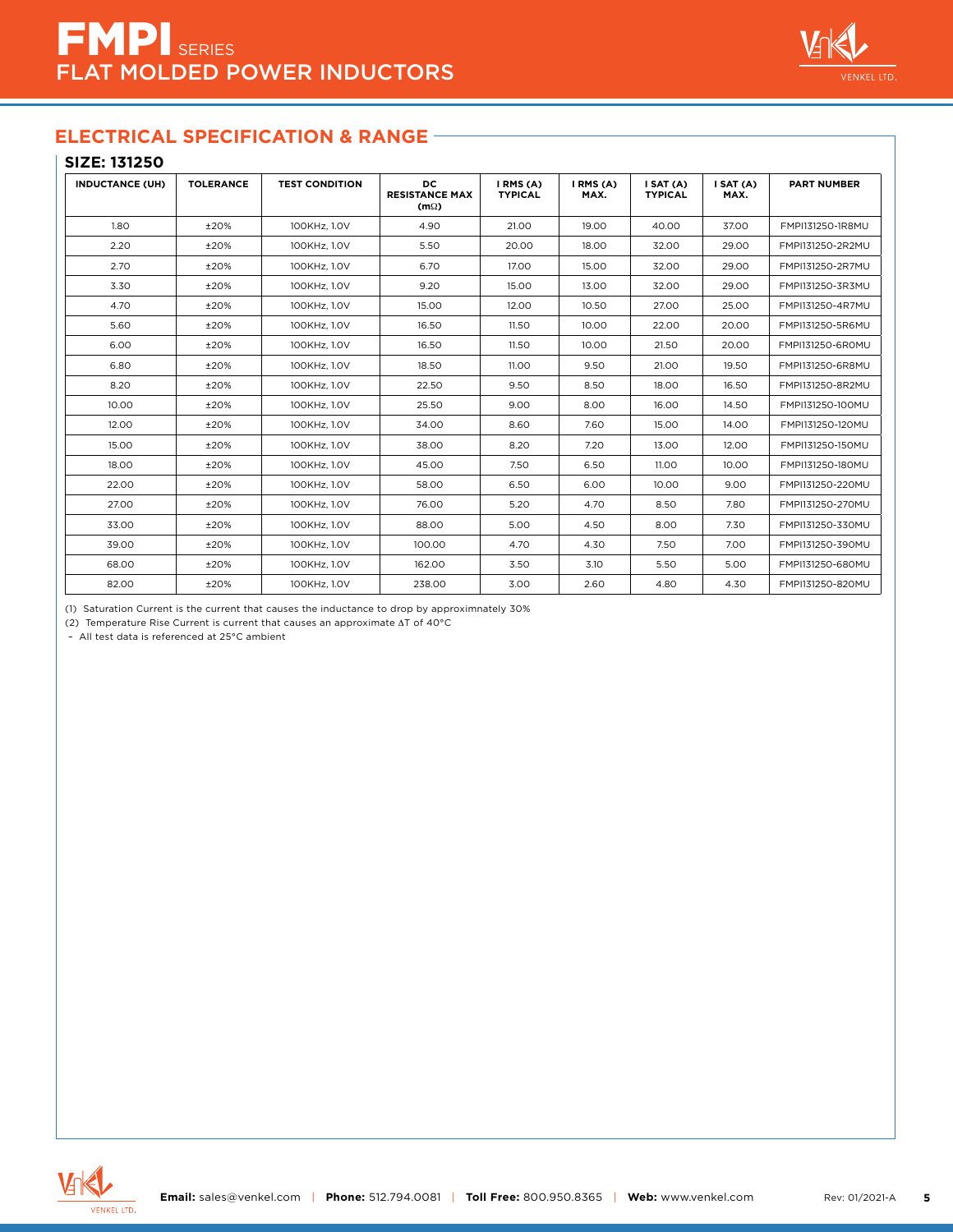

#### **SIZE: 131250**

| <b>INDUCTANCE (UH)</b> | <b>TOLERANCE</b> | <b>TEST CONDITION</b> | DC.<br><b>RESISTANCE MAX</b><br>$(m\Omega)$ | I RMS (A)<br><b>TYPICAL</b> | I RMS (A)<br>MAX. | I SAT (A)<br><b>TYPICAL</b> | I SAT (A)<br>MAX. | <b>PART NUMBER</b> |
|------------------------|------------------|-----------------------|---------------------------------------------|-----------------------------|-------------------|-----------------------------|-------------------|--------------------|
| 1.80                   | ±20%             | 100KHz, 1.0V          | 4.90                                        | 21.00                       | 19.00             | 40.00                       | 37.00             | FMPI131250-1R8MU   |
| 2.20                   | ±20%             | 100KHz, 1.0V          | 5.50                                        | 20.00                       | 18.00             | 32.00                       | 29.00             | FMPI131250-2R2MU   |
| 2.70                   | ±20%             | 100KHz, 1.0V          | 6.70                                        | 17.00                       | 15.00             | 32.00                       | 29.00             | FMPI131250-2R7MU   |
| 3.30                   | ±20%             | 100KHz, 1.0V          | 9.20                                        | 15.00                       | 13.00             | 32.00                       | 29.00             | FMPI131250-3R3MU   |
| 4.70                   | ±20%             | 100KHz, 1.0V          | 15.00                                       | 12.00                       | 10.50             | 27.00                       | 25.00             | FMPI131250-4R7MU   |
| 5.60                   | ±20%             | 100KHz, 1.0V          | 16.50                                       | 11.50                       | 10.00             | 22.00                       | 20.00             | FMPI131250-5R6MU   |
| 6.00                   | ±20%             | 100KHz, 1.0V          | 16.50                                       | 11.50                       | 10.00             | 21.50                       | 20.00             | FMPI131250-6R0MU   |
| 6.80                   | ±20%             | 100KHz, 1.0V          | 18.50                                       | 11.00                       | 9.50              | 21.00                       | 19.50             | FMPI131250-6R8MU   |
| 8.20                   | ±20%             | 100KHz, 1.0V          | 22.50                                       | 9.50                        | 8.50              | 18.00                       | 16.50             | FMPI131250-8R2MU   |
| 10.00                  | ±20%             | 100KHz, 1.0V          | 25.50                                       | 9.00                        | 8.00              | 16.00                       | 14.50             | FMPI131250-100MU   |
| 12.00                  | ±20%             | 100KHz, 1.0V          | 34.00                                       | 8.60                        | 7.60              | 15.00                       | 14.00             | FMPI131250-120MU   |
| 15.00                  | ±20%             | 100KHz, 1.0V          | 38.00                                       | 8.20                        | 7.20              | 13.00                       | 12.00             | FMPI131250-150MU   |
| 18.00                  | ±20%             | 100KHz, 1.0V          | 45.00                                       | 7.50                        | 6.50              | 11.00                       | 10.00             | FMPI131250-180MU   |
| 22.00                  | ±20%             | 100KHz, 1.0V          | 58.00                                       | 6.50                        | 6.00              | 10.00                       | 9.00              | FMPI131250-220MU   |
| 27.00                  | ±20%             | 100KHz, 1.0V          | 76.00                                       | 5.20                        | 4.70              | 8.50                        | 7.80              | FMPI131250-270MU   |
| 33.00                  | ±20%             | 100KHz. 1.0V          | 88.00                                       | 5.00                        | 4.50              | 8.00                        | 7.30              | FMPI131250-330MU   |
| 39.00                  | ±20%             | 100KHz, 1.0V          | 100.00                                      | 4.70                        | 4.30              | 7.50                        | 7.00              | FMPI131250-390MU   |
| 68.00                  | ±20%             | 100KHz, 1.0V          | 162.00                                      | 3.50                        | 3.10              | 5.50                        | 5.00              | FMPI131250-680MU   |
| 82.00                  | ±20%             | 100KHz, 1.0V          | 238.00                                      | 3.00                        | 2.60              | 4.80                        | 4.30              | FMPI131250-820MU   |

(1) Saturation Current is the current that causes the inductance to drop by approximnately 30%

(2) Temperature Rise Current is current that causes an approximate ∆T of 40°C

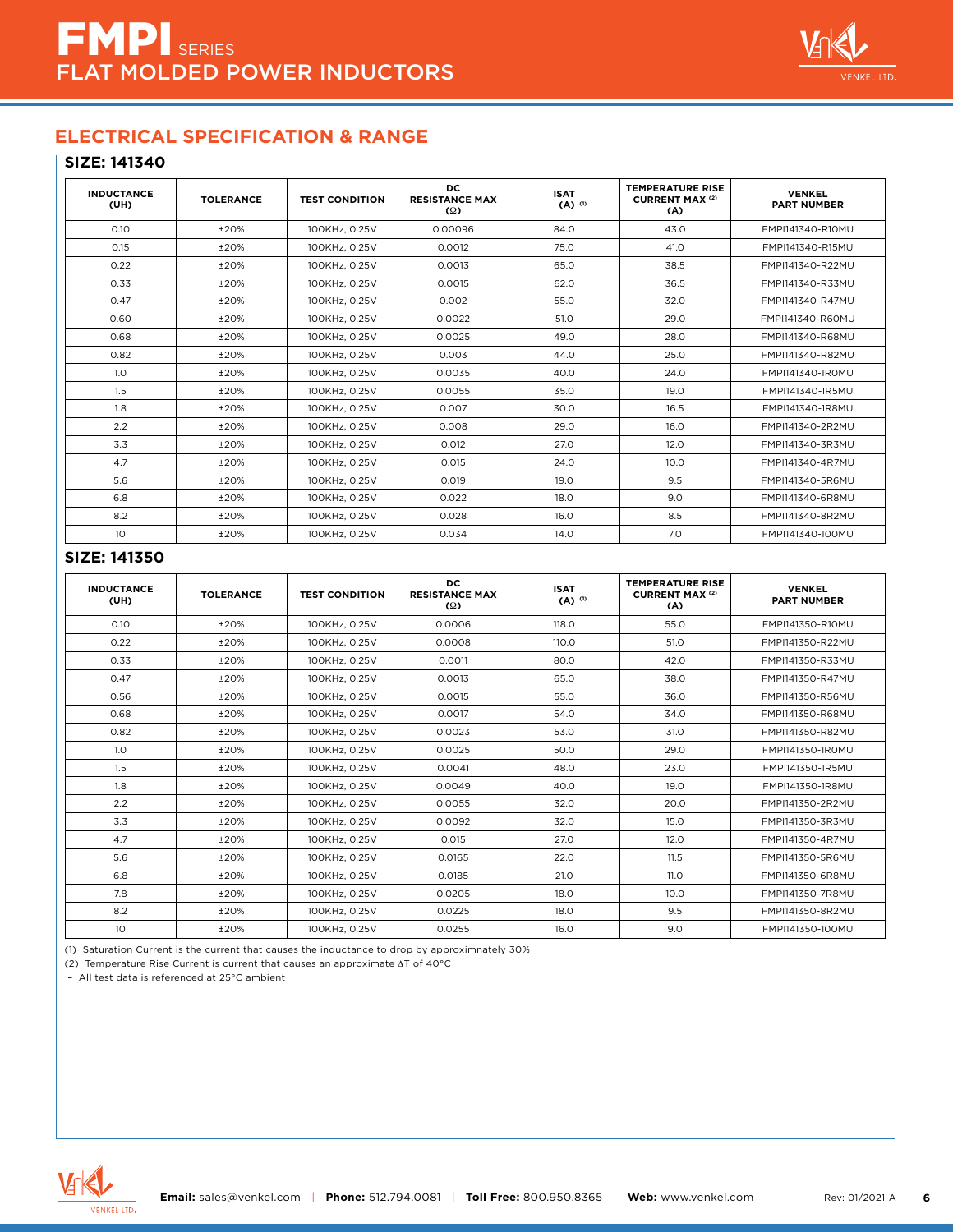

## **SIZE: 141340**

| <b>INDUCTANCE</b><br>(UH) | <b>TOLERANCE</b> | <b>TEST CONDITION</b> | DC<br><b>RESISTANCE MAX</b><br>$\Omega$ | <b>ISAT</b><br>$(A)$ <sup>(1)</sup> | <b>TEMPERATURE RISE</b><br><b>CURRENT MAX (2)</b><br>(A) | <b>VENKEL</b><br><b>PART NUMBER</b> |
|---------------------------|------------------|-----------------------|-----------------------------------------|-------------------------------------|----------------------------------------------------------|-------------------------------------|
| 0.10                      | $+20%$           | 100KHz, 0.25V         | 0.00096                                 | 84.0                                | 43.0                                                     | FMPI141340-R10MU                    |
| 0.15                      | ±20%             | 100KHz, 0.25V         | 0.0012                                  | 75.0                                | 41.0                                                     | FMPI141340-R15MU                    |
| 0.22                      | ±20%             | 100KHz, 0.25V         | 0.0013                                  | 65.0                                | 38.5                                                     | FMPI141340-R22MU                    |
| 0.33                      | ±20%             | 100KHz, 0.25V         | 0.0015                                  | 62.0                                | 36.5                                                     | FMPI141340-R33MU                    |
| 0.47                      | ±20%             | 100KHz, 0.25V         | 0.002                                   | 55.0                                | 32.0                                                     | FMPI141340-R47MU                    |
| 0.60                      | ±20%             | 100KHz, 0.25V         | 0.0022                                  | 51.0                                | 29.0                                                     | FMPI141340-R60MU                    |
| 0.68                      | ±20%             | 100KHz, 0.25V         | 0.0025                                  | 49.0                                | 28.0                                                     | FMPI141340-R68MU                    |
| 0.82                      | ±20%             | 100KHz, 0.25V         | 0.003                                   | 44.0                                | 25.0                                                     | FMPI141340-R82MU                    |
| 1.0                       | ±20%             | 100KHz, 0.25V         | 0.0035                                  | 40.0                                | 24.0                                                     | FMPI141340-1R0MU                    |
| 1.5                       | ±20%             | 100KHz, 0.25V         | 0.0055                                  | 35.0                                | 19.0                                                     | FMPI141340-1R5MU                    |
| 1.8                       | ±20%             | 100KHz, 0.25V         | 0.007                                   | 30.0                                | 16.5                                                     | FMPI141340-1R8MU                    |
| 2.2                       | ±20%             | 100KHz, 0.25V         | 0.008                                   | 29.0                                | 16.0                                                     | FMPI141340-2R2MU                    |
| 3.3                       | ±20%             | 100KHz, 0.25V         | 0.012                                   | 27.0                                | 12.0                                                     | FMPI141340-3R3MU                    |
| 4.7                       | ±20%             | 100KHz, 0.25V         | 0.015                                   | 24.0                                | 10.0                                                     | FMPI141340-4R7MU                    |
| 5.6                       | ±20%             | 100KHz, 0.25V         | 0.019                                   | 19.0                                | 9.5                                                      | FMPI141340-5R6MU                    |
| 6.8                       | ±20%             | 100KHz, 0.25V         | 0.022                                   | 18.0                                | 9.0                                                      | FMPI141340-6R8MU                    |
| 8.2                       | ±20%             | 100KHz, 0.25V         | 0.028                                   | 16.0                                | 8.5                                                      | FMPI141340-8R2MU                    |
| 10                        | ±20%             | 100KHz, 0.25V         | 0.034                                   | 14.0                                | 7.0                                                      | FMPI141340-100MU                    |

#### **SIZE: 141350**

| <b>INDUCTANCE</b><br>(UH) | <b>TOLERANCE</b> | <b>TEST CONDITION</b> | DC<br><b>RESISTANCE MAX</b><br>$\Omega$ | <b>ISAT</b><br>$(A)$ <sup>(1)</sup> | <b>TEMPERATURE RISE</b><br><b>CURRENT MAX (2)</b><br>(A) | <b>VENKEL</b><br><b>PART NUMBER</b> |
|---------------------------|------------------|-----------------------|-----------------------------------------|-------------------------------------|----------------------------------------------------------|-------------------------------------|
| 0.10                      | $+20%$           | 100KHz. 0.25V         | 0.0006                                  | 118.0                               | 55.0                                                     | FMPI141350-R10MU                    |
| 0.22                      | ±20%             | 100KHz. 0.25V         | 0.0008                                  | 110.0                               | 51.0                                                     | FMPI141350-R22MU                    |
| 0.33                      | ±20%             | 100KHz, 0.25V         | 0.0011                                  | 80.0                                | 42.0                                                     | FMPI141350-R33MU                    |
| 0.47                      | ±20%             | 100KHz. 0.25V         | 0.0013                                  | 65.0                                | 38.0                                                     | FMPI141350-R47MU                    |
| 0.56                      | ±20%             | 100KHz, 0.25V         | 0.0015                                  | 55.0                                | 36.0                                                     | FMPI141350-R56MU                    |
| 0.68                      | ±20%             | 100KHz, 0.25V         | 0.0017                                  | 54.0                                | 34.0                                                     | FMPI141350-R68MU                    |
| 0.82                      | ±20%             | 100KHz. 0.25V         | 0.0023                                  | 53.0                                | 31.0                                                     | FMPI141350-R82MU                    |
| 1.0                       | ±20%             | 100KHz, 0.25V         | 0.0025                                  | 50.0                                | 29.0                                                     | FMPI141350-1R0MU                    |
| 1.5                       | ±20%             | 100KHz, 0.25V         | 0.0041                                  | 48.0                                | 23.0                                                     | FMPI141350-1R5MU                    |
| 1.8                       | ±20%             | 100KHz, 0.25V         | 0.0049                                  | 40.0                                | 19.0                                                     | FMPI141350-1R8MU                    |
| 2.2                       | ±20%             | 100KHz, 0.25V         | 0.0055                                  | 32.0                                | 20.0                                                     | FMPI141350-2R2MU                    |
| 3.3                       | ±20%             | 100KHz, 0.25V         | 0.0092                                  | 32.0                                | 15.0                                                     | FMPI141350-3R3MU                    |
| 4.7                       | ±20%             | 100KHz, 0.25V         | 0.015                                   | 27.0                                | 12.0                                                     | FMPI141350-4R7MU                    |
| 5.6                       | ±20%             | 100KHz, 0.25V         | 0.0165                                  | 22.0                                | 11.5                                                     | FMPI141350-5R6MU                    |
| 6.8                       | ±20%             | 100KHz, 0.25V         | 0.0185                                  | 21.0                                | 11.0                                                     | FMPI141350-6R8MU                    |
| 7.8                       | ±20%             | 100KHz, 0.25V         | 0.0205                                  | 18.0                                | 10.0                                                     | FMPI141350-7R8MU                    |
| 8.2                       | ±20%             | 100KHz, 0.25V         | 0.0225                                  | 18.0                                | 9.5                                                      | FMPI141350-8R2MU                    |
| 10 <sup>°</sup>           | ±20%             | 100KHz, 0.25V         | 0.0255                                  | 16.0                                | 9.0                                                      | FMPI141350-100MU                    |

(1) Saturation Current is the current that causes the inductance to drop by approximnately 30%

(2) Temperature Rise Current is current that causes an approximate ∆T of 40°C

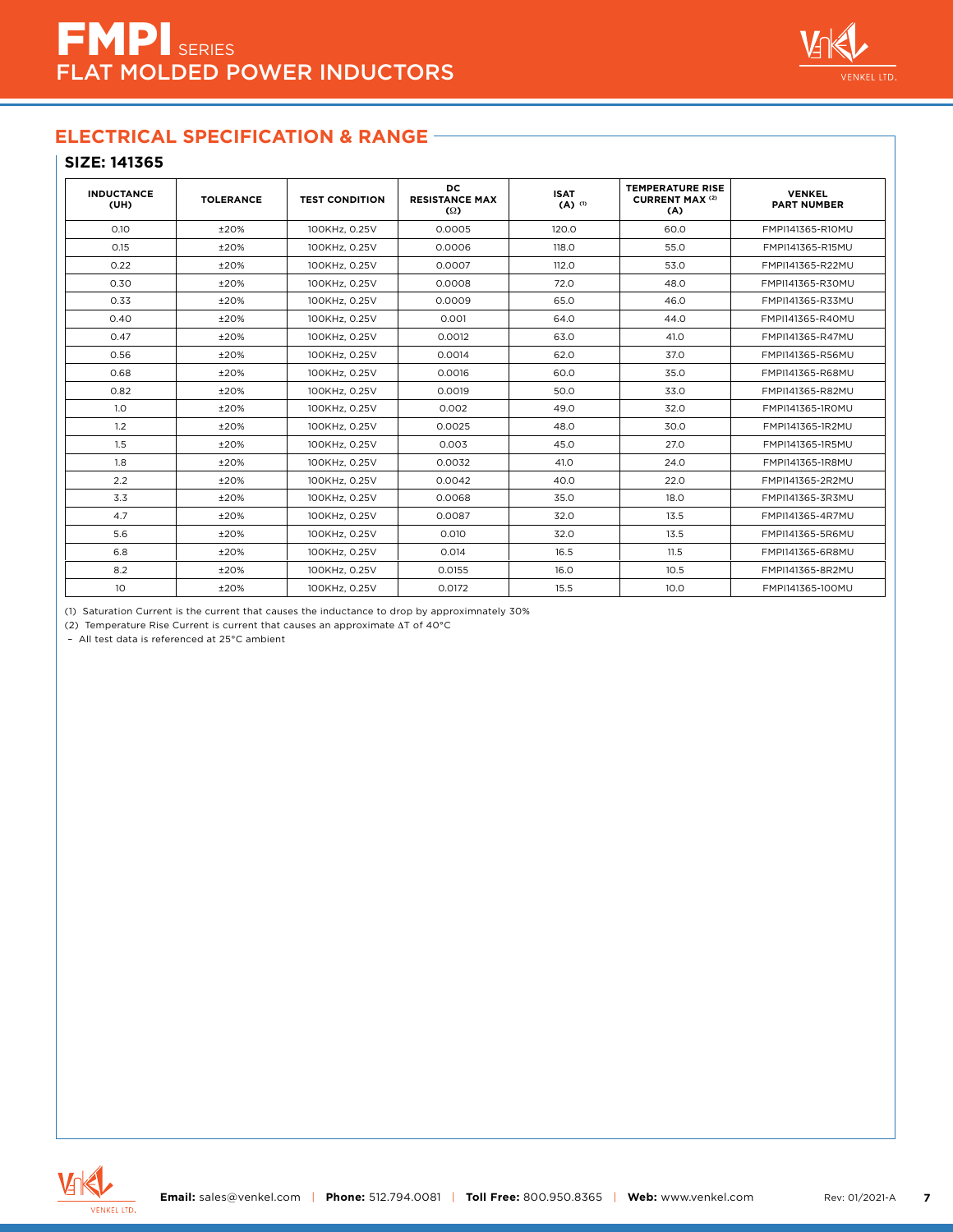

## **SIZE: 141365**

| <b>INDUCTANCE</b><br>(UH) | <b>TOLERANCE</b> | <b>TEST CONDITION</b> | DC<br><b>RESISTANCE MAX</b><br>$\Omega$ | <b>ISAT</b><br>$(A)$ <sup>(1)</sup> | <b>TEMPERATURE RISE</b><br><b>CURRENT MAX (2)</b><br>(A) | <b>VENKEL</b><br><b>PART NUMBER</b> |
|---------------------------|------------------|-----------------------|-----------------------------------------|-------------------------------------|----------------------------------------------------------|-------------------------------------|
| 0.10                      | ±20%             | 100KHz. 0.25V         | 0.0005                                  | 120.0                               | 60.0                                                     | FMPI141365-R10MU                    |
| 0.15                      | ±20%             | 100KHz, 0.25V         | 0.0006                                  | 118.0                               | 55.0                                                     | FMPI141365-R15MU                    |
| 0.22                      | ±20%             | 100KHz, 0.25V         | 0.0007                                  | 112.0                               | 53.0                                                     | FMPI141365-R22MU                    |
| 0.30                      | ±20%             | 100KHz, 0.25V         | 0.0008                                  | 72.0                                | 48.0                                                     | FMPI141365-R30MU                    |
| 0.33                      | ±20%             | 100KHz, 0.25V         | 0.0009                                  | 65.0                                | 46.0                                                     | FMPI141365-R33MU                    |
| 0.40                      | ±20%             | 100KHz, 0.25V         | 0.001                                   | 64.0                                | 44.0                                                     | FMPI141365-R40MU                    |
| 0.47                      | ±20%             | 100KHz, 0.25V         | 0.0012                                  | 63.0                                | 41.0                                                     | FMPI141365-R47MU                    |
| 0.56                      | ±20%             | 100KHz, 0.25V         | 0.0014                                  | 62.0                                | 37.0                                                     | FMPI141365-R56MU                    |
| 0.68                      | ±20%             | 100KHz, 0.25V         | 0.0016                                  | 60.0                                | 35.0                                                     | FMPI141365-R68MU                    |
| 0.82                      | ±20%             | 100KHz, 0.25V         | 0.0019                                  | 50.0                                | 33.0                                                     | FMPI141365-R82MU                    |
| 1.0                       | ±20%             | 100KHz, 0.25V         | 0.002                                   | 49.0                                | 32.0                                                     | FMPI141365-1ROMU                    |
| 1.2                       | ±20%             | 100KHz, 0.25V         | 0.0025                                  | 48.0                                | 30.0                                                     | FMPI141365-1R2MU                    |
| 1.5                       | ±20%             | 100KHz, 0.25V         | 0.003                                   | 45.0                                | 27.0                                                     | FMPI141365-1R5MU                    |
| 1.8                       | ±20%             | 100KHz, 0.25V         | 0.0032                                  | 41.0                                | 24.0                                                     | FMPI141365-1R8MU                    |
| 2.2                       | ±20%             | 100KHz, 0.25V         | 0.0042                                  | 40.0                                | 22.0                                                     | FMPI141365-2R2MU                    |
| 3.3                       | ±20%             | 100KHz. 0.25V         | 0.0068                                  | 35.0                                | 18.0                                                     | FMPI141365-3R3MU                    |
| 4.7                       | ±20%             | 100KHz, 0.25V         | 0.0087                                  | 32.0                                | 13.5                                                     | FMPI141365-4R7MU                    |
| 5.6                       | ±20%             | 100KHz, 0.25V         | 0.010                                   | 32.0                                | 13.5                                                     | FMPI141365-5R6MU                    |
| 6.8                       | ±20%             | 100KHz, 0.25V         | 0.014                                   | 16.5                                | 11.5                                                     | FMPI141365-6R8MU                    |
| 8.2                       | ±20%             | 100KHz, 0.25V         | 0.0155                                  | 16.0                                | 10.5                                                     | FMPI141365-8R2MU                    |
| 10 <sup>°</sup>           | ±20%             | 100KHz, 0.25V         | 0.0172                                  | 15.5                                | 10.0                                                     | FMPI141365-100MU                    |

(1) Saturation Current is the current that causes the inductance to drop by approximnately 30%

(2) Temperature Rise Current is current that causes an approximate ∆T of 40°C

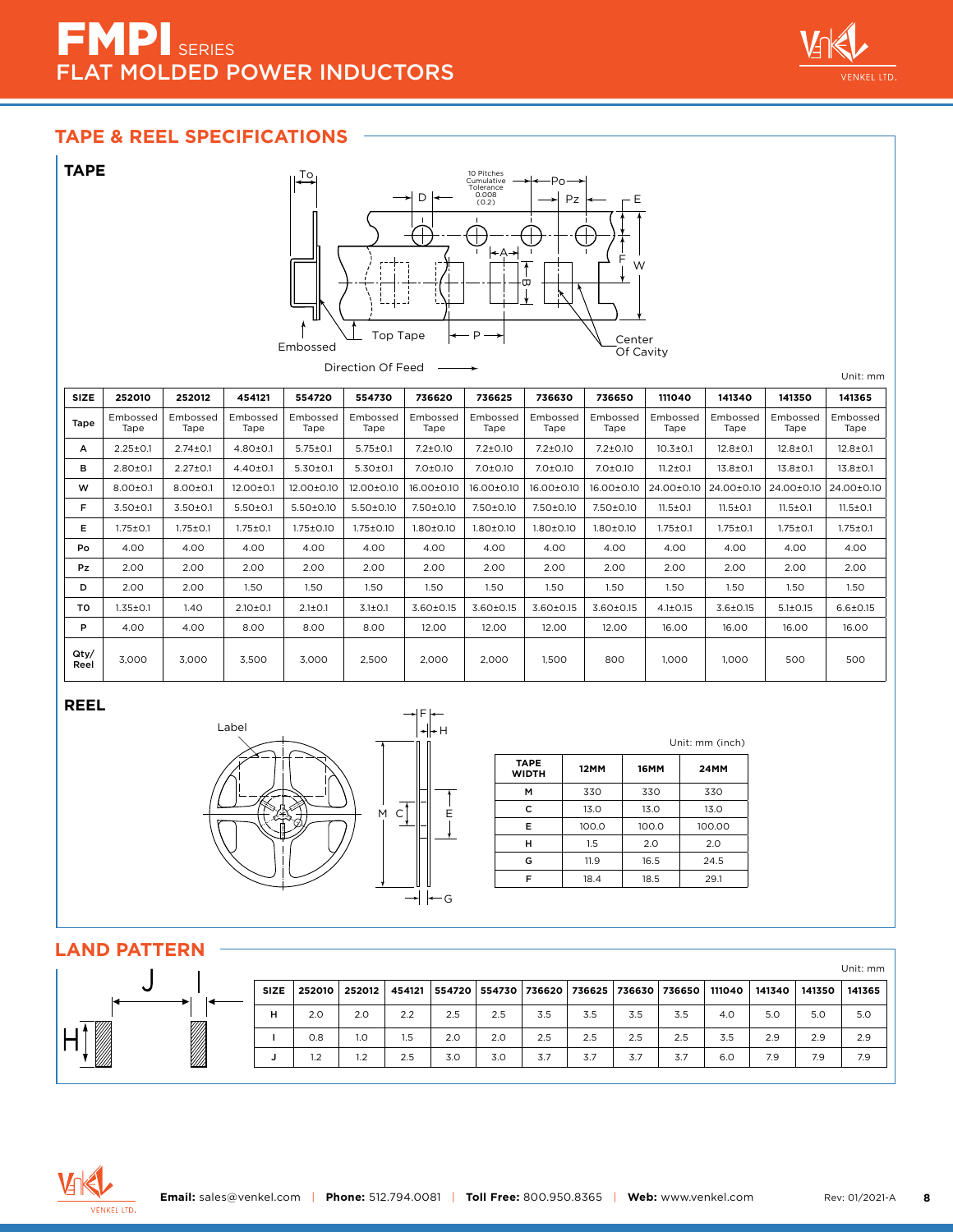# EMP<sub>I SERIES</sub> **AT MOLDED POWER INDUCTORS**



## **TAPE & REEL SPECIFICATIONS**



#### **REEL**



|                             |             |             | Unit: mm (inch) |
|-----------------------------|-------------|-------------|-----------------|
| <b>TAPE</b><br><b>WIDTH</b> | <b>12MM</b> | <b>16MM</b> | <b>24MM</b>     |
| M                           | 330         | 330         | 330             |
| c                           | 13.0        | 13.0        | 13.0            |
| Е                           | 100.0       | 100.0       | 100.00          |
| н                           | 1.5         | 2.0         | 2.0             |
| G                           | 11.9        | 16.5        | 24.5            |
| F                           | 18.4        | 18.5        | 29.1            |

## **LAND PATTERN**

|                |             |        |        |        |        |     |     |                                            |     |     |        |        |        | Unit: mm |
|----------------|-------------|--------|--------|--------|--------|-----|-----|--------------------------------------------|-----|-----|--------|--------|--------|----------|
| $\checkmark$   | <b>SIZE</b> | 252010 | 252012 | 454121 | 554720 |     |     | 554730   736620   736625   736630   736650 |     |     | 111040 | 141340 | 141350 | 141365   |
|                | н           | 2.0    | 2.0    | 2.2    | 2.5    | 2.5 | 3.5 | 3.5                                        | 3.5 | 3.5 | 4.0    | 5.0    | 5.0    | 5.0      |
|                |             | 0.8    | 1.0    | 1.5    | 2.0    | 2.0 | 2.5 | 2.5                                        | 2.5 | 2.5 | 3.5    | 2.9    | 2.9    | 2.9      |
| <b>Barbara</b> |             | 1.2    | 1.2    | 2.5    | 3.0    | 3.0 | 3.7 | 3.7                                        | 3.7 | 3.7 | 6.0    | 7.9    | 7.9    | 7.9      |